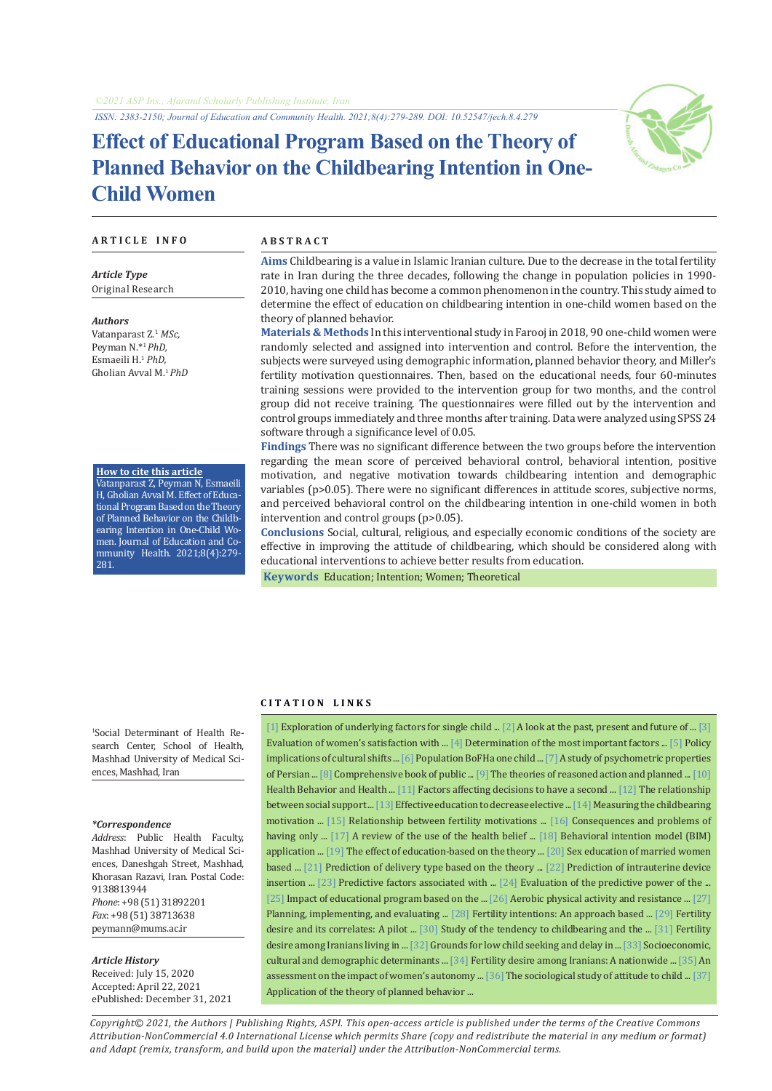*ISSN: 2383-2150; Journal of Education and Community Health. 2021;8(4):279-289. DOI: 10.52547/jech.8.4.279*

# **Effect of Educational Program Based on the Theory of Planned Behavior on the Childbearing Intention in One-Child Women**



#### **A R T I C L E I N F O A B S T R A C T**

*Article Type* Original Research

*Authors* Vatanparast Z.1 *MSc,* Peyman N.\*<sup>1</sup>*PhD,* Esmaeili H.1  *PhD,* Gholian Avval M.<sup>1</sup>*PhD*

**How to cite this article** Vatanparast Z, Peyman N, Esmaeili H, Gholian Avval M. Effect of Educational Program Based on the Theory of Planned Behavior on the Childbearing Intention in One-Child Women. Journal of Education and Community Health. 2021;8(4):279- 281.

**Aims** Childbearing is a value in Islamic Iranian culture. Due to the decrease in the total fertility rate in Iran during the three decades, following the change in population policies in 1990- 2010, having one child has become a common phenomenon in the country. This study aimed to determine the effect of education on childbearing intention in one-child women based on the theory of planned behavior.

**Materials & Methods** In this interventional study in Farooj in 2018, 90 one-child women were randomly selected and assigned into intervention and control. Before the intervention, the subjects were surveyed using demographic information, planned behavior theory, and Miller's fertility motivation questionnaires. Then, based on the educational needs, four 60-minutes training sessions were provided to the intervention group for two months, and the control group did not receive training. The questionnaires were filled out by the intervention and control groups immediately and three months after training. Data were analyzed using SPSS 24 software through a significance level of 0.05.

**Findings** There was no significant difference between the two groups before the intervention regarding the mean score of perceived behavioral control, behavioral intention, positive motivation, and negative motivation towards childbearing intention and demographic variables (p>0.05). There were no significant differences in attitude scores, subjective norms, and perceived behavioral control on the childbearing intention in one-child women in both intervention and control groups (p>0.05).

**Conclusions** Social, cultural, religious, and especially economic conditions of the society are effective in improving the attitude of childbearing, which should be considered along with educational interventions to achieve better results from education.

 **Keywords** [Education](https://www.ncbi.nlm.nih.gov/mesh/68004493); [Intention](https://www.ncbi.nlm.nih.gov/mesh/68033182); [Women](https://www.ncbi.nlm.nih.gov/mesh/68014930); [Theoretical](https://www.ncbi.nlm.nih.gov/mesh/68008962) 

1 Social Determinant of Health Research Center, School of Health,

#### *\*Correspondence*

ences, Mashhad, Iran

*Address*: Public Health Faculty, Mashhad University of Medical Sciences, Daneshgah Street, Mashhad, Khorasan Razavi, Iran. Postal Code: 9138813944 *Phone*: +98 (51) 31892201 *Fax*: +98 (51) 38713638 peymann@mums.ac.ir

Mashhad University of Medical Sci-

#### *Article History*

Received: July 15, 2020 Accepted: April 22, 2021 ePublished: December 31, 2021

### **C I T A T I O N L I N K S**

[\[1\]](https://www.sid.ir/en/journal/ViewPaper.aspx?id=520362) Exploration of underlying factors for single child ... [\[2\]](https://srtc.ac.ir/analytical-reports/ID/5112/) A look at the past, present and future of ... [[3\]](https://jmciri.ir/browse.php?a_id=2852&sid=1&slc_lang=en) Evaluation of women's satisfaction with ... [\[4\]](https://sjimu.medilam.ac.ir/browse.php?a_id=1435&sid=1&slc_lang=en) Determination of the most important factors ... [\[5\]](https://www.sid.ir/en/journal/ViewPaper.aspx?id=803349) Policy implications of cultural shifts ... [6] Population BoFHa one child ... [\[7\]](http://unmf.umsu.ac.ir/article-1-2846-en.html) A study of psychometric properties of Persian ... [\[8\]](https://ph.sbmu.ac.ir/uploads/PUBLIC_HEALTH_INDEX1.htm) Comprehensive book of public ... [\[9](https://journals.humankinetics.com/view/journals/jpah/2/1/article-p76.xml)] The theories of reasoned action and planned ... [\[10\]](https://www.amazon.com/Health-Behavior-Education-Research-Practice/dp/0787996149) Health Behavior and Health ... [\[11](https://journals.pan.pl/dlibra/publication/120841/edition/105248/content/factors-affecting-decisions-to-have-a-second-child-exploiting-the-theory-of-planned-behaviour-luksik-ivan-bianchi-gabriel-popper-miroslav-babos-pavol?language=pl)] Factors affecting decisions to have a second ... [[12\]](http://payeshjournal.ir/browse.php?a_id=50&sid=1&slc_lang=en) The relationship between social support ... [[13](https://d1wqtxts1xzle7.cloudfront.net/57489211/6461-with-cover-page-v2)] Effective education to decrease elective ... [[14\]](https://pubmed.ncbi.nlm.nih.gov/15688570/) Measuring the childbearing motivation ... [\[15\]](https://ijogi.mums.ac.ir/article_3414.html) Relationship between fertility motivations ... [\[16](https://b2n.ir/s34241)] Consequences and problems of having only ... [[17\]](https://warwick.ac.uk/fac/sci/med/study/ugr/mbchb/phase1_08/semester2/healthpsychology/nice-doh_draft_review_of_health_behaviour_theories.pdf) A review of the use of the health belief ... [[18](http://journal.bums.ac.ir/article-1-77-en.html)] Behavioral intention model (BIM) application ... [\[19](http://eprints.gmu.ac.ir/808/)] The effect of education-based on the theory ... [\[20](https://www.cjhr.org/article.asp)] Sex education of married women based ... [\[21\]](http://njv.bpums.ac.ir/browse.php?a_id=713&sid=1&slc_lang=en) Prediction of delivery type based on the theory ... [\[22\]](https://ijogi.mums.ac.ir/article_682.html) Prediction of intrauterine device insertion ... [[23\]](http://journal.ihepsa.ir/browse.php?a_id=290&sid=1&slc_lang=en) Predictive factors associated with ... [\[24\]](https://hsr.mui.ac.ir/browse.php?a_id=853&sid=1&slc_lang=en) Evaluation of the predictive power of the ... [\[25](http://hcjournal.arums.ac.ir/browse.php?a_id=238&sid=1&slc_lang=en)] Impact of educational program based on the ... [[26](https://pubmed.ncbi.nlm.nih.gov/19055725/)] Aerobic physical activity and resistance ... [\[27\]](https://www.amazon.com/Planning-Implementing-Evaluating-Promotion-Programs/dp/0321788508) Planning, implementing, and evaluating ... [[28\]](https://www.demographic-research.org/volumes/vol29/8/default.htm) Fertility intentions: An approach based ... [\[29\]](https://payeshjournal.ir/browse.php?a_id=221&sid=1&slc_lang=en) Fertility desire and its correlates: A pilot ... [[30](http://journal.bums.ac.ir/browse.php?a_id=1879&sid=1&slc_lang=en)] Study of the tendency to childbearing and the ... [[31\]](https://payeshjournal.ir/article-1-141-en.html) Fertility desire among Iranians living in ... [\[32\]](http://www.jsfc.ir/article_14922.html?lang=fa) Grounds for low child seeking and delay in ... [[33](https://sites.kowsarpub.com/jkums/articles/74273.html)] Socioeconomic, cultural and demographic determinants ... [\[34\]](http://payeshjournal.ir/browse.php?a_id=89&sid=1&slc_lang=en) Fertility desire among Iranians: A nationwide ... [\[35](https://journals.ut.ac.ir/article_35477_4576.html)] An assessment on the impact of women's autonomy ... [36] The sociological study of attitude to child ... [37] Application of the theory of planned behavior ...

*Copyright© 2021, the Authors | Publishing Rights, ASPI. This open-access article is published under the terms of the Creative Commons Attribution-NonCommercial 4.0 International License which permits Share (copy and redistribute the material in any medium or format) and Adapt (remix, transform, and build upon the material) under the Attribution-NonCommercial terms.*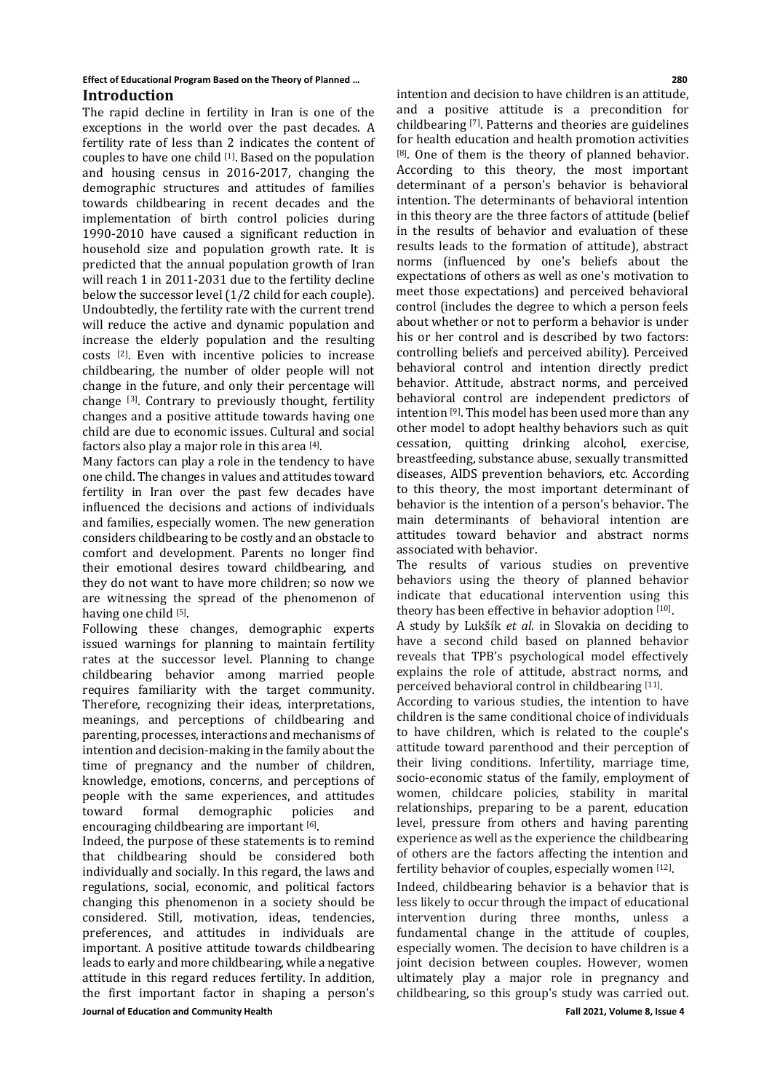#### **Effect of Educational Program Based on the Theory of Planned … 280 Introduction**

The rapid decline in fertility in Iran is one of the exceptions in the world over the past decades. A fertility rate of less than 2 indicates the content of couples to have one child [1]. Based on the population and housing census in 2016-2017, changing the demographic structures and attitudes of families towards childbearing in recent decades and the implementation of birth control policies during 1990-2010 have caused a significant reduction in household size and population growth rate. It is predicted that the annual population growth of Iran will reach 1 in 2011-2031 due to the fertility decline below the successor level (1/2 child for each couple). Undoubtedly, the fertility rate with the current trend will reduce the active and dynamic population and increase the elderly population and the resulting costs [2]. Even with incentive policies to increase childbearing, the number of older people will not change in the future, and only their percentage will change [3]. Contrary to previously thought, fertility changes and a positive attitude towards having one child are due to economic issues. Cultural and social factors also play a major role in this area [4].

Many factors can play a role in the tendency to have one child. The changes in values and attitudes toward fertility in Iran over the past few decades have influenced the decisions and actions of individuals and families, especially women. The new generation considers childbearing to be costly and an obstacle to comfort and development. Parents no longer find their emotional desires toward childbearing, and they do not want to have more children; so now we are witnessing the spread of the phenomenon of having one child [5].

Following these changes, demographic experts issued warnings for planning to maintain fertility rates at the successor level. Planning to change childbearing behavior among married people requires familiarity with the target community. Therefore, recognizing their ideas, interpretations, meanings, and perceptions of childbearing and parenting, processes, interactions and mechanisms of intention and decision-making in the family about the time of pregnancy and the number of children, knowledge, emotions, concerns, and perceptions of people with the same experiences, and attitudes demographic encouraging childbearing are important [6].

**Journal of Education and Community Health Fall 2021, Volume 8, Issue 4** Indeed, the purpose of these statements is to remind that childbearing should be considered both individually and socially. In this regard, the laws and regulations, social, economic, and political factors changing this phenomenon in a society should be considered. Still, motivation, ideas, tendencies, preferences, and attitudes in individuals are important. A positive attitude towards childbearing leads to early and more childbearing, while a negative attitude in this regard reduces fertility. In addition, the first important factor in shaping a person's

intention and decision to have children is an attitude, and a positive attitude is a precondition for childbearing [7]. Patterns and theories are guidelines for health education and health promotion activities [8]. One of them is the theory of planned behavior. According to this theory, the most important determinant of a person's behavior is behavioral intention. The determinants of behavioral intention in this theory are the three factors of attitude (belief in the results of behavior and evaluation of these results leads to the formation of attitude), abstract norms (influenced by one's beliefs about the expectations of others as well as one's motivation to meet those expectations) and perceived behavioral control (includes the degree to which a person feels about whether or not to perform a behavior is under his or her control and is described by two factors: controlling beliefs and perceived ability). Perceived behavioral control and intention directly predict behavior. Attitude, abstract norms, and perceived behavioral control are independent predictors of intention [9]. This model has been used more than any other model to adopt healthy behaviors such as quit cessation, quitting drinking alcohol, exercise, breastfeeding, substance abuse, sexually transmitted diseases, AIDS prevention behaviors, etc. According to this theory, the most important determinant of behavior is the intention of a person's behavior. The main determinants of behavioral intention are attitudes toward behavior and abstract norms associated with behavior.

The results of various studies on preventive behaviors using the theory of planned behavior indicate that educational intervention using this theory has been effective in behavior adoption [10].

A study by Lukšík *et al*. in Slovakia on deciding to have a second child based on planned behavior reveals that TPB's psychological model effectively explains the role of attitude, abstract norms, and perceived behavioral control in childbearing [11].

According to various studies, the intention to have children is the same conditional choice of individuals to have children, which is related to the couple's attitude toward parenthood and their perception of their living conditions. Infertility, marriage time, socio-economic status of the family, employment of women, childcare policies, stability in marital relationships, preparing to be a parent, education level, pressure from others and having parenting experience as well as the experience the childbearing of others are the factors affecting the intention and fertility behavior of couples, especially women [12].

Indeed, childbearing behavior is a behavior that is less likely to occur through the impact of educational intervention during three months, unless a fundamental change in the attitude of couples, especially women. The decision to have children is a joint decision between couples. However, women ultimately play a major role in pregnancy and childbearing, so this group's study was carried out.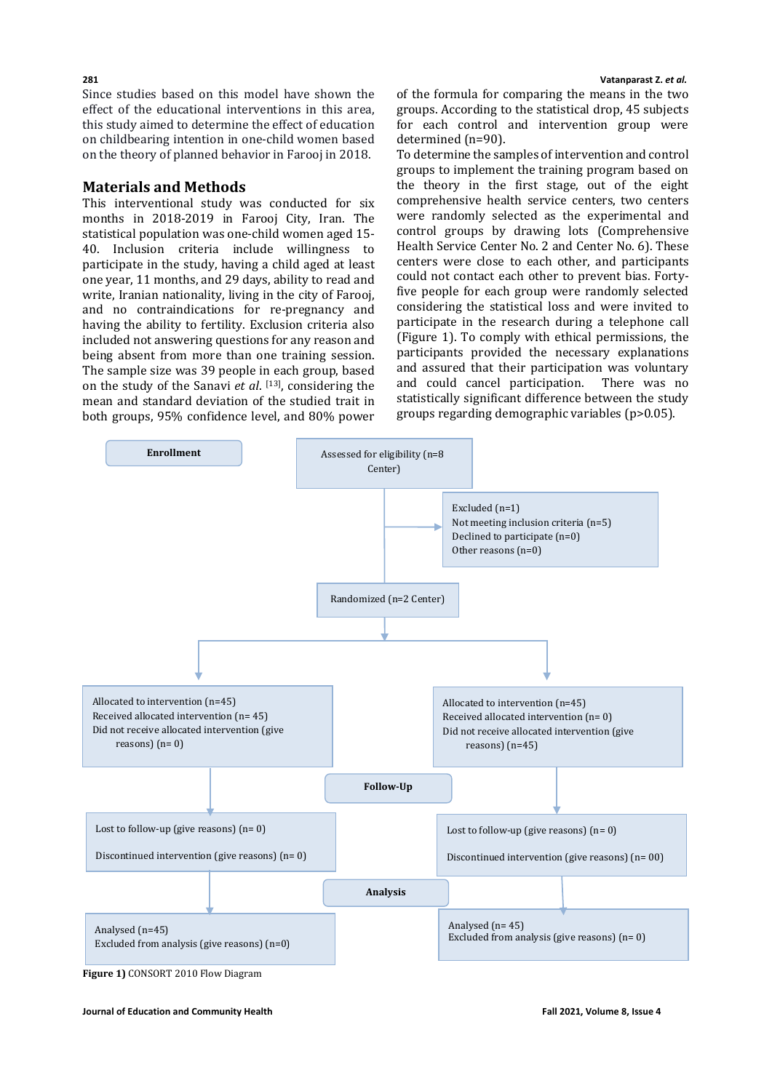Since studies based on this model have shown the effect of the educational interventions in this area, this study aimed to determine the effect of education on childbearing intention in one-child women based on the theory of planned behavior in Farooj in 2018.

# **Materials and Methods**

This interventional study was conducted for six months in 2018-2019 in Farooj City, Iran. The statistical population was one-child women aged 15- 40. Inclusion criteria include willingness to participate in the study, having a child aged at least one year, 11 months, and 29 days, ability to read and write, Iranian nationality, living in the city of Farooj, and no contraindications for re-pregnancy and having the ability to fertility. Exclusion criteria also included not answering questions for any reason and being absent from more than one training session. The sample size was 39 people in each group, based on the study of the Sanavi *et al*. [13], considering the mean and standard deviation of the studied trait in both groups, 95% confidence level, and 80% power of the formula for comparing the means in the two groups. According to the statistical drop, 45 subjects for each control and intervention group were determined (n=90).

To determine the samples of intervention and control groups to implement the training program based on the theory in the first stage, out of the eight comprehensive health service centers, two centers were randomly selected as the experimental and control groups by drawing lots (Comprehensive Health Service Center No. 2 and Center No. 6). These centers were close to each other, and participants could not contact each other to prevent bias. Fortyfive people for each group were randomly selected considering the statistical loss and were invited to participate in the research during a telephone call (Figure 1). To comply with ethical permissions, the participants provided the necessary explanations and assured that their participation was voluntary<br>and could cancel participation. There was no and could cancel participation. statistically significant difference between the study groups regarding demographic variables (p>0.05).



**Figure 1)** CONSORT 2010 Flow Diagram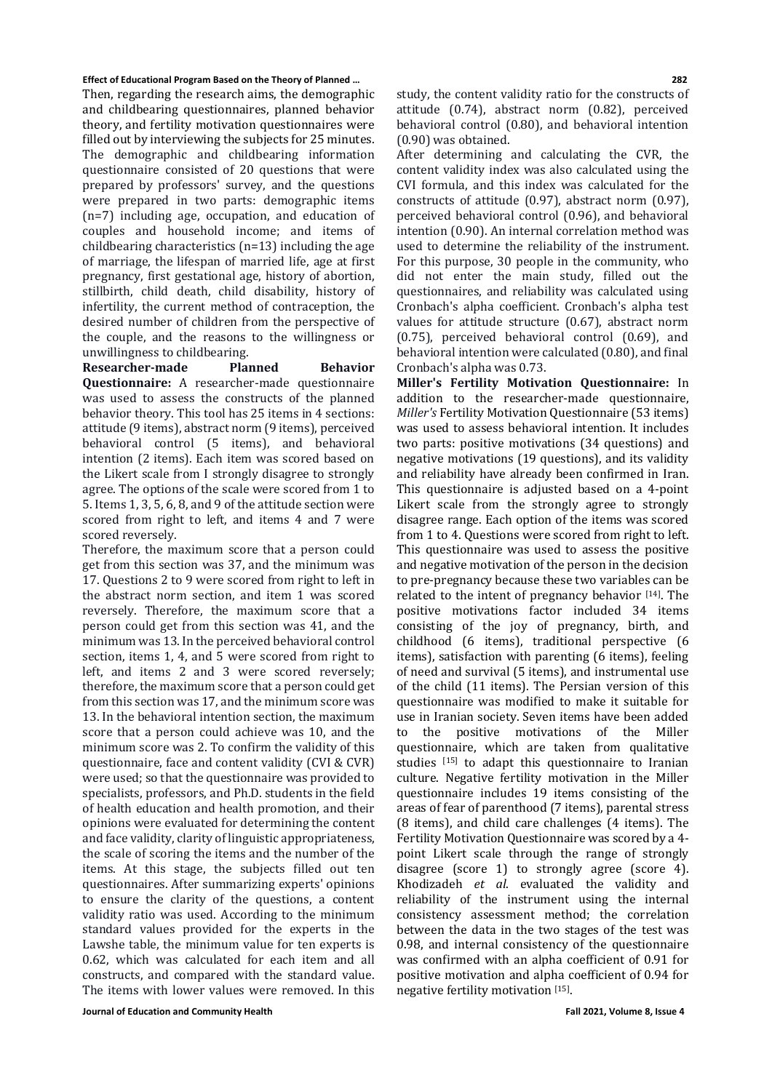Then, regarding the research aims, the demographic and childbearing questionnaires, planned behavior theory, and fertility motivation questionnaires were filled out by interviewing the subjects for 25 minutes. The demographic and childbearing information questionnaire consisted of 20 questions that were prepared by professors' survey, and the questions were prepared in two parts: demographic items (n=7) including age, occupation, and education of couples and household income; and items of childbearing characteristics (n=13) including the age of marriage, the lifespan of married life, age at first pregnancy, first gestational age, history of abortion, stillbirth, child death, child disability, history of infertility, the current method of contraception, the desired number of children from the perspective of the couple, and the reasons to the willingness or unwillingness to childbearing.<br> **Researcher-made** Planned

**Researcher-made Planned Behavior Questionnaire:** A researcher-made questionnaire was used to assess the constructs of the planned behavior theory. This tool has 25 items in 4 sections: attitude (9 items), abstract norm (9 items), perceived behavioral control (5 items), and behavioral intention (2 items). Each item was scored based on the Likert scale from I strongly disagree to strongly agree. The options of the scale were scored from 1 to 5. Items 1, 3, 5, 6, 8, and 9 of the attitude section were scored from right to left, and items 4 and 7 were scored reversely.

Therefore, the maximum score that a person could get from this section was 37, and the minimum was 17. Questions 2 to 9 were scored from right to left in the abstract norm section, and item 1 was scored reversely. Therefore, the maximum score that a person could get from this section was 41, and the minimum was 13. In the perceived behavioral control section, items 1, 4, and 5 were scored from right to left, and items 2 and 3 were scored reversely; therefore, the maximum score that a person could get from this section was 17, and the minimum score was 13. In the behavioral intention section, the maximum score that a person could achieve was 10, and the minimum score was 2. To confirm the validity of this questionnaire, face and content validity (CVI & CVR) were used; so that the questionnaire was provided to specialists, professors, and Ph.D. students in the field of health education and health promotion, and their opinions were evaluated for determining the content and face validity, clarity of linguistic appropriateness, the scale of scoring the items and the number of the items. At this stage, the subjects filled out ten questionnaires. After summarizing experts' opinions to ensure the clarity of the questions, a content validity ratio was used. According to the minimum standard values provided for the experts in the Lawshe table, the minimum value for ten experts is 0.62, which was calculated for each item and all constructs, and compared with the standard value. The items with lower values were removed. In this

study, the content validity ratio for the constructs of attitude (0.74), abstract norm (0.82), perceived behavioral control (0.80), and behavioral intention (0.90) was obtained.

After determining and calculating the CVR, the content validity index was also calculated using the CVI formula, and this index was calculated for the constructs of attitude (0.97), abstract norm (0.97), perceived behavioral control (0.96), and behavioral intention (0.90). An internal correlation method was used to determine the reliability of the instrument. For this purpose, 30 people in the community, who did not enter the main study, filled out the questionnaires, and reliability was calculated using Cronbach's alpha coefficient. Cronbach's alpha test values for attitude structure (0.67), abstract norm (0.75), perceived behavioral control (0.69), and behavioral intention were calculated (0.80), and final Cronbach's alpha was 0.73.

**Miller's Fertility Motivation Questionnaire:** In addition to the researcher-made questionnaire, *Miller's* Fertility Motivation Questionnaire (53 items) was used to assess behavioral intention. It includes two parts: positive motivations (34 questions) and negative motivations (19 questions), and its validity and reliability have already been confirmed in Iran. This questionnaire is adjusted based on a 4-point Likert scale from the strongly agree to strongly disagree range. Each option of the items was scored from 1 to 4. Questions were scored from right to left. This questionnaire was used to assess the positive and negative motivation of the person in the decision to pre-pregnancy because these two variables can be related to the intent of pregnancy behavior  $[14]$ . The positive motivations factor included 34 items consisting of the joy of pregnancy, birth, and childhood (6 items), traditional perspective (6 items), satisfaction with parenting (6 items), feeling of need and survival (5 items), and instrumental use of the child (11 items). The Persian version of this questionnaire was modified to make it suitable for use in Iranian society. Seven items have been added to the positive motivations of the Miller questionnaire, which are taken from qualitative studies [15] to adapt this questionnaire to Iranian culture. Negative fertility motivation in the Miller questionnaire includes 19 items consisting of the areas of fear of parenthood (7 items), parental stress (8 items), and child care challenges (4 items). The Fertility Motivation Questionnaire was scored by a 4 point Likert scale through the range of strongly disagree (score 1) to strongly agree (score 4). Khodizadeh *et al*. evaluated the validity and reliability of the instrument using the internal consistency assessment method; the correlation between the data in the two stages of the test was 0.98, and internal consistency of the questionnaire was confirmed with an alpha coefficient of 0.91 for positive motivation and alpha coefficient of 0.94 for negative fertility motivation [15].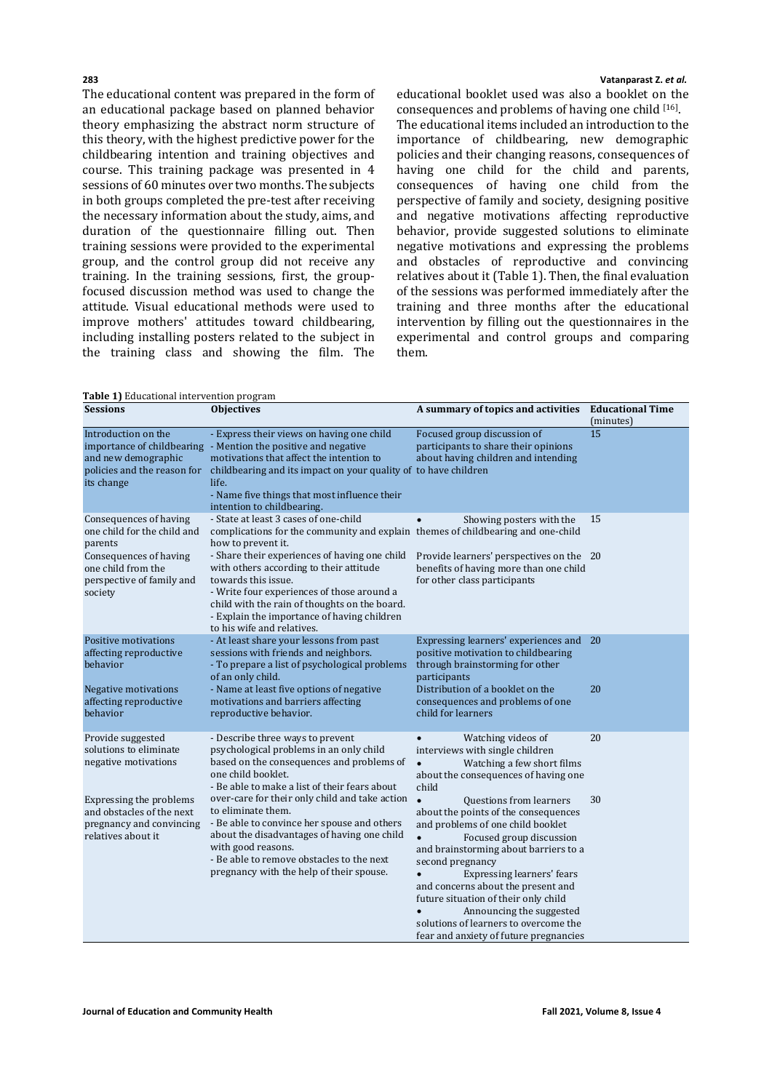The educational content was prepared in the form of an educational package based on planned behavior theory emphasizing the abstract norm structure of this theory, with the highest predictive power for the childbearing intention and training objectives and course. This training package was presented in 4 sessions of 60 minutes over two months. The subjects in both groups completed the pre-test after receiving the necessary information about the study, aims, and duration of the questionnaire filling out. Then training sessions were provided to the experimental group, and the control group did not receive any training. In the training sessions, first, the groupfocused discussion method was used to change the attitude. Visual educational methods were used to improve mothers' attitudes toward childbearing, including installing posters related to the subject in the training class and showing the film. The

#### **283 Vatanparast Z.** *et al.*

educational booklet used was also a booklet on the consequences and problems of having one child [16]. The educational items included an introduction to the importance of childbearing, new demographic policies and their changing reasons, consequences of having one child for the child and parents, consequences of having one child from the perspective of family and society, designing positive and negative motivations affecting reproductive behavior, provide suggested solutions to eliminate negative motivations and expressing the problems and obstacles of reproductive and convincing relatives about it (Table 1). Then, the final evaluation of the sessions was performed immediately after the training and three months after the educational intervention by filling out the questionnaires in the experimental and control groups and comparing them.

**Table 1)** Educational intervention program

| <b>rushe 1)</b> Buudubhur micr vention program<br><b>Sessions</b>                                      | <b>Objectives</b>                                                                                                                                                                                                                                                                                                 | A summary of topics and activities                                                                                                                                                                                                                                                                                                                                                                                                           | <b>Educational Time</b><br>(minutes) |
|--------------------------------------------------------------------------------------------------------|-------------------------------------------------------------------------------------------------------------------------------------------------------------------------------------------------------------------------------------------------------------------------------------------------------------------|----------------------------------------------------------------------------------------------------------------------------------------------------------------------------------------------------------------------------------------------------------------------------------------------------------------------------------------------------------------------------------------------------------------------------------------------|--------------------------------------|
| Introduction on the<br>and new demographic<br>policies and the reason for<br>its change                | - Express their views on having one child<br>importance of childbearing - Mention the positive and negative<br>motivations that affect the intention to<br>childbearing and its impact on your quality of to have children<br>life.<br>- Name five things that most influence their<br>intention to childbearing. | Focused group discussion of<br>participants to share their opinions<br>about having children and intending                                                                                                                                                                                                                                                                                                                                   | 15                                   |
| Consequences of having<br>one child for the child and<br>parents                                       | - State at least 3 cases of one-child<br>complications for the community and explain themes of childbearing and one-child<br>how to prevent it.                                                                                                                                                                   | Showing posters with the                                                                                                                                                                                                                                                                                                                                                                                                                     | 15                                   |
| Consequences of having<br>one child from the<br>perspective of family and<br>society                   | - Share their experiences of having one child<br>with others according to their attitude<br>towards this issue.<br>- Write four experiences of those around a<br>child with the rain of thoughts on the board.<br>- Explain the importance of having children<br>to his wife and relatives.                       | Provide learners' perspectives on the 20<br>benefits of having more than one child<br>for other class participants                                                                                                                                                                                                                                                                                                                           |                                      |
| Positive motivations<br>affecting reproductive<br>behavior                                             | - At least share your lessons from past<br>sessions with friends and neighbors.<br>- To prepare a list of psychological problems<br>of an only child.                                                                                                                                                             | Expressing learners' experiences and<br>positive motivation to childbearing<br>through brainstorming for other<br>participants                                                                                                                                                                                                                                                                                                               | 20                                   |
| Negative motivations<br>affecting reproductive<br>behavior                                             | - Name at least five options of negative<br>motivations and barriers affecting<br>reproductive behavior.                                                                                                                                                                                                          | Distribution of a booklet on the<br>consequences and problems of one<br>child for learners                                                                                                                                                                                                                                                                                                                                                   | 20                                   |
| Provide suggested<br>solutions to eliminate<br>negative motivations                                    | - Describe three ways to prevent<br>psychological problems in an only child<br>based on the consequences and problems of<br>one child booklet.<br>- Be able to make a list of their fears about                                                                                                                   | Watching videos of<br>interviews with single children<br>Watching a few short films<br>$\bullet$<br>about the consequences of having one<br>child                                                                                                                                                                                                                                                                                            | 20                                   |
| Expressing the problems<br>and obstacles of the next<br>pregnancy and convincing<br>relatives about it | over-care for their only child and take action<br>to eliminate them.<br>- Be able to convince her spouse and others<br>about the disadvantages of having one child<br>with good reasons.<br>- Be able to remove obstacles to the next<br>pregnancy with the help of their spouse.                                 | $\bullet$<br>Questions from learners<br>about the points of the consequences<br>and problems of one child booklet<br>Focused group discussion<br>and brainstorming about barriers to a<br>second pregnancy<br><b>Expressing learners' fears</b><br>and concerns about the present and<br>future situation of their only child<br>Announcing the suggested<br>solutions of learners to overcome the<br>fear and anxiety of future pregnancies | 30                                   |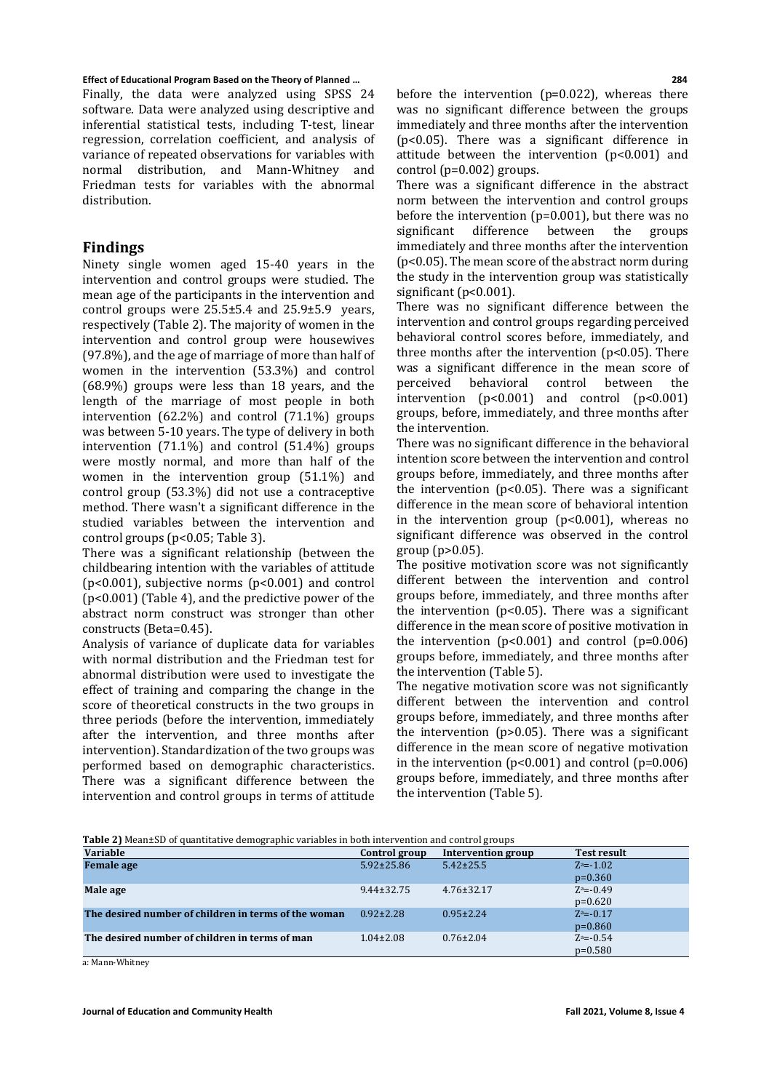Finally, the data were analyzed using SPSS 24 software. Data were analyzed using descriptive and inferential statistical tests, including T-test, linear regression, correlation coefficient, and analysis of variance of repeated observations for variables with normal distribution, and Mann-Whitney and Friedman tests for variables with the abnormal distribution.

# **Findings**

Ninety single women aged 15-40 years in the intervention and control groups were studied. The mean age of the participants in the intervention and control groups were  $25.5\pm5.4$  and  $25.9\pm5.9$  vears, respectively (Table 2). The majority of women in the intervention and control group were housewives (97.8%), and the age of marriage of more than half of women in the intervention (53.3%) and control (68.9%) groups were less than 18 years, and the length of the marriage of most people in both intervention (62.2%) and control (71.1%) groups was between 5-10 years. The type of delivery in both intervention (71.1%) and control (51.4%) groups were mostly normal, and more than half of the women in the intervention group (51.1%) and control group (53.3%) did not use a contraceptive method. There wasn't a significant difference in the studied variables between the intervention and control groups (p<0.05; Table 3).

There was a significant relationship (between the childbearing intention with the variables of attitude (p<0.001), subjective norms (p<0.001) and control (p<0.001) (Table 4), and the predictive power of the abstract norm construct was stronger than other constructs (Beta=0.45).

Analysis of variance of duplicate data for variables with normal distribution and the Friedman test for abnormal distribution were used to investigate the effect of training and comparing the change in the score of theoretical constructs in the two groups in three periods (before the intervention, immediately after the intervention, and three months after intervention). Standardization of the two groups was performed based on demographic characteristics. There was a significant difference between the intervention and control groups in terms of attitude before the intervention (p=0.022), whereas there was no significant difference between the groups immediately and three months after the intervention (p<0.05). There was a significant difference in attitude between the intervention (p<0.001) and control (p=0.002) groups.

There was a significant difference in the abstract norm between the intervention and control groups before the intervention ( $p=0.001$ ), but there was no<br>significant difference between the groups significant difference immediately and three months after the intervention (p<0.05). The mean score of the abstract norm during the study in the intervention group was statistically significant (p<0.001).

There was no significant difference between the intervention and control groups regarding perceived behavioral control scores before, immediately, and three months after the intervention (p<0.05). There was a significant difference in the mean score of<br>perceived behavioral control between the perceived behavioral control between the intervention (p<0.001) and control (p<0.001) groups, before, immediately, and three months after the intervention.

There was no significant difference in the behavioral intention score between the intervention and control groups before, immediately, and three months after the intervention ( $p$ <0.05). There was a significant difference in the mean score of behavioral intention in the intervention group  $(p<0.001)$ , whereas no significant difference was observed in the control group (p>0.05).

The positive motivation score was not significantly different between the intervention and control groups before, immediately, and three months after the intervention ( $p<0.05$ ). There was a significant difference in the mean score of positive motivation in the intervention  $(p<0.001)$  and control  $(p=0.006)$ groups before, immediately, and three months after the intervention (Table 5).

The negative motivation score was not significantly different between the intervention and control groups before, immediately, and three months after the intervention (p>0.05). There was a significant difference in the mean score of negative motivation in the intervention  $(p<0.001)$  and control  $(p=0.006)$ groups before, immediately, and three months after the intervention (Table 5).

| Table 2) Mean±SD of quantitative demographic variables in both intervention and control groups |
|------------------------------------------------------------------------------------------------|
|------------------------------------------------------------------------------------------------|

| - <del>. .</del><br><b>Variable</b>                  | Control group    | Intervention group | <b>Test result</b> |
|------------------------------------------------------|------------------|--------------------|--------------------|
| <b>Female</b> age                                    | $5.92 \pm 25.86$ | $5.42 \pm 25.5$    | $Z^a = -1.02$      |
|                                                      |                  |                    | $p=0.360$          |
| Male age                                             | $9.44 \pm 32.75$ | $4.76 \pm 32.17$   | $Z^a = -0.49$      |
|                                                      |                  |                    | $p=0.620$          |
| The desired number of children in terms of the woman | $0.92 \pm 2.28$  | $0.95 \pm 2.24$    | $Z^a = -0.17$      |
|                                                      |                  |                    | $p=0.860$          |
| The desired number of children in terms of man       | $1.04 \pm 2.08$  | $0.76 \pm 2.04$    | $Z^a = -0.54$      |
|                                                      |                  |                    | $p=0.580$          |

a: Mann-Whitney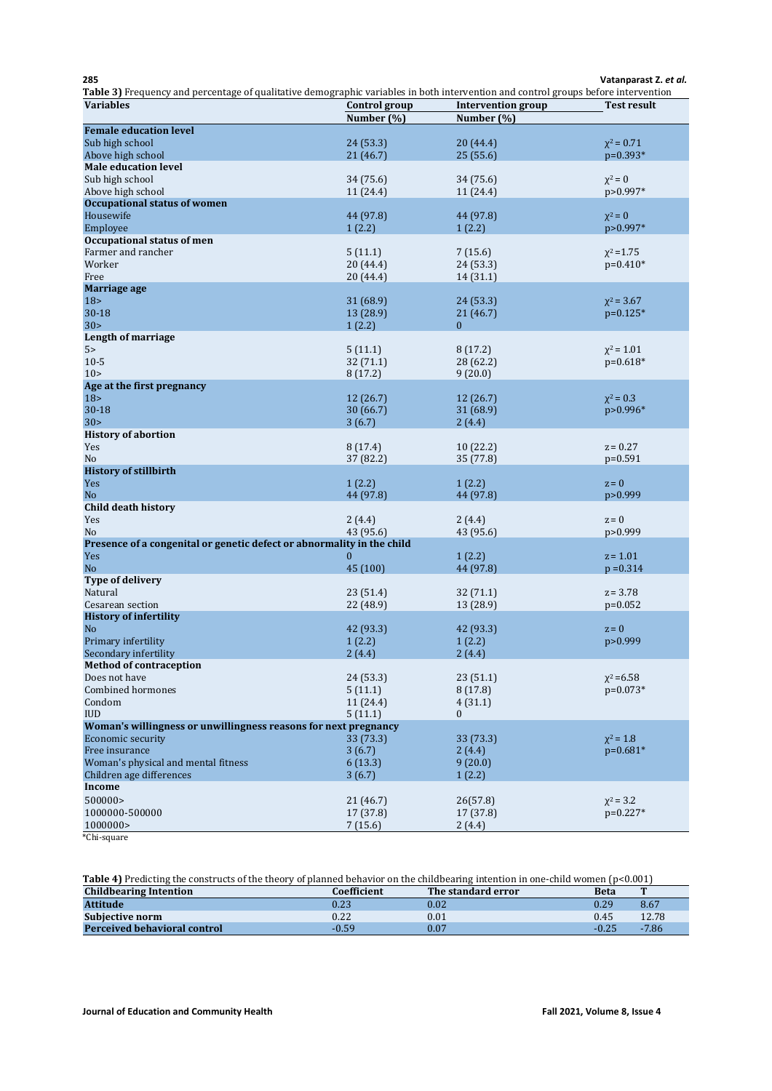| 285<br>Table 3) Frequency and percentage of qualitative demographic variables in both intervention and control groups before intervention |                      |                           | Vatanparast Z. et al. |
|-------------------------------------------------------------------------------------------------------------------------------------------|----------------------|---------------------------|-----------------------|
| <b>Variables</b>                                                                                                                          | Control group        | <b>Intervention</b> group | <b>Test result</b>    |
|                                                                                                                                           | Number (%)           | Number (%)                |                       |
| <b>Female education level</b>                                                                                                             |                      |                           |                       |
| Sub high school                                                                                                                           | 24 (53.3)            | 20(44.4)                  | $x^2 = 0.71$          |
| Above high school                                                                                                                         | 21(46.7)             | 25(55.6)                  | $p=0.393*$            |
| <b>Male education level</b>                                                                                                               |                      |                           |                       |
| Sub high school                                                                                                                           | 34 (75.6)            | 34 (75.6)                 | $\chi^2=0$            |
| Above high school                                                                                                                         | 11 (24.4)            | 11 (24.4)                 | p>0.997*              |
| <b>Occupational status of women</b><br>Housewife                                                                                          |                      |                           | $\chi^2=0$            |
| Employee                                                                                                                                  | 44 (97.8)<br>1(2.2)  | 44 (97.8)<br>1(2.2)       | p>0.997*              |
| Occupational status of men                                                                                                                |                      |                           |                       |
| Farmer and rancher                                                                                                                        | 5(11.1)              | 7(15.6)                   | $x^2 = 1.75$          |
| Worker                                                                                                                                    | 20 (44.4)            | 24 (53.3)                 | $p=0.410*$            |
| Free                                                                                                                                      | 20 (44.4)            | 14(31.1)                  |                       |
| Marriage age                                                                                                                              |                      |                           |                       |
| 18 >                                                                                                                                      | 31(68.9)             | 24(53.3)                  | $\chi^2$ = 3.67       |
| $30 - 18$                                                                                                                                 | 13 (28.9)            | 21(46.7)                  | $p=0.125*$            |
| 30 <sub>2</sub>                                                                                                                           | 1(2.2)               | $\mathbf{0}$              |                       |
| Length of marriage                                                                                                                        |                      |                           |                       |
| 5 <sub>5</sub>                                                                                                                            | 5(11.1)              | 8(17.2)                   | $x^2 = 1.01$          |
| $10-5$                                                                                                                                    | 32(71.1)             | 28 (62.2)                 | $p=0.618*$            |
| 10 ><br>Age at the first pregnancy                                                                                                        | 8(17.2)              | 9(20.0)                   |                       |
| 18 <sub>2</sub>                                                                                                                           | 12(26.7)             | 12(26.7)                  | $\chi^2 = 0.3$        |
| $30 - 18$                                                                                                                                 | 30(66.7)             | 31 (68.9)                 | p>0.996*              |
| 30 <sub>2</sub>                                                                                                                           | 3(6.7)               | 2(4.4)                    |                       |
| <b>History of abortion</b>                                                                                                                |                      |                           |                       |
| Yes                                                                                                                                       | 8(17.4)              | 10(22.2)                  | $z = 0.27$            |
| No                                                                                                                                        | 37 (82.2)            | 35 (77.8)                 | $p=0.591$             |
| <b>History of stillbirth</b>                                                                                                              |                      |                           |                       |
| Yes                                                                                                                                       | 1(2.2)               | 1(2.2)                    | $z = 0$               |
| N <sub>o</sub>                                                                                                                            | 44 (97.8)            | 44 (97.8)                 | p>0.999               |
| Child death history                                                                                                                       |                      |                           |                       |
| Yes                                                                                                                                       | 2(4.4)               | 2(4.4)                    | $z = 0$               |
| No                                                                                                                                        | 43 (95.6)            | 43 (95.6)                 | p>0.999               |
| Presence of a congenital or genetic defect or abnormality in the child<br>Yes                                                             | $\mathbf{0}$         | 1(2.2)                    | $z = 1.01$            |
| N <sub>o</sub>                                                                                                                            | 45 (100)             | 44 (97.8)                 | $p = 0.314$           |
| <b>Type of delivery</b>                                                                                                                   |                      |                           |                       |
| Natural                                                                                                                                   | 23(51.4)             | 32(71.1)                  | $z = 3.78$            |
| Cesarean section                                                                                                                          | 22 (48.9)            | 13 (28.9)                 | $p=0.052$             |
| <b>History of infertility</b>                                                                                                             |                      |                           |                       |
| N <sub>o</sub>                                                                                                                            | 42 (93.3)            | 42 (93.3)                 | $z = 0$               |
| Primary infertility                                                                                                                       | 1(2.2)               | 1(2.2)                    | p>0.999               |
| Secondary infertility                                                                                                                     | 2(4.4)               | 2(4.4)                    |                       |
| <b>Method of contraception</b>                                                                                                            |                      |                           |                       |
| Does not have                                                                                                                             | 24 (53.3)            | 23(51.1)                  | $x^2 = 6.58$          |
| <b>Combined hormones</b><br>Condom                                                                                                        | 5(11.1)              | 8(17.8)                   | $p=0.073*$            |
| <b>IUD</b>                                                                                                                                | 11 (24.4)<br>5(11.1) | 4(31.1)<br>$\mathbf{0}$   |                       |
| Woman's willingness or unwillingness reasons for next pregnancy                                                                           |                      |                           |                       |
| Economic security                                                                                                                         | 33 (73.3)            | 33 (73.3)                 | $\chi^2 = 1.8$        |
| Free insurance                                                                                                                            | 3(6.7)               | 2(4.4)                    | $p=0.681*$            |
| Woman's physical and mental fitness                                                                                                       | 6(13.3)              | 9(20.0)                   |                       |
| Children age differences                                                                                                                  | 3(6.7)               | 1(2.2)                    |                       |
| Income                                                                                                                                    |                      |                           |                       |
| 500000                                                                                                                                    | 21 (46.7)            | 26(57.8)                  | $x^2 = 3.2$           |
| 1000000-500000                                                                                                                            | 17 (37.8)            | 17 (37.8)                 | $p=0.227*$            |
| 1000000>                                                                                                                                  | 7(15.6)              | 2(4.4)                    |                       |

\*Chi-square

# **Table 4)** Predicting the constructs of the theory of planned behavior on the childbearing intention in one-child women (p<0.001)

| <b>Childbearing Intention</b>       | Coefficient | The standard error | <b>Beta</b> |         |
|-------------------------------------|-------------|--------------------|-------------|---------|
| <b>Attitude</b>                     | 0.23        | $0.02\,$           | 0.29        | 8.67    |
| <b>Subjective norm</b>              | 0.22        | 0.01               | 0.45        | 12.78   |
| <b>Perceived behavioral control</b> | $-0.59$     | 0.07               | $-0.25$     | $-7.86$ |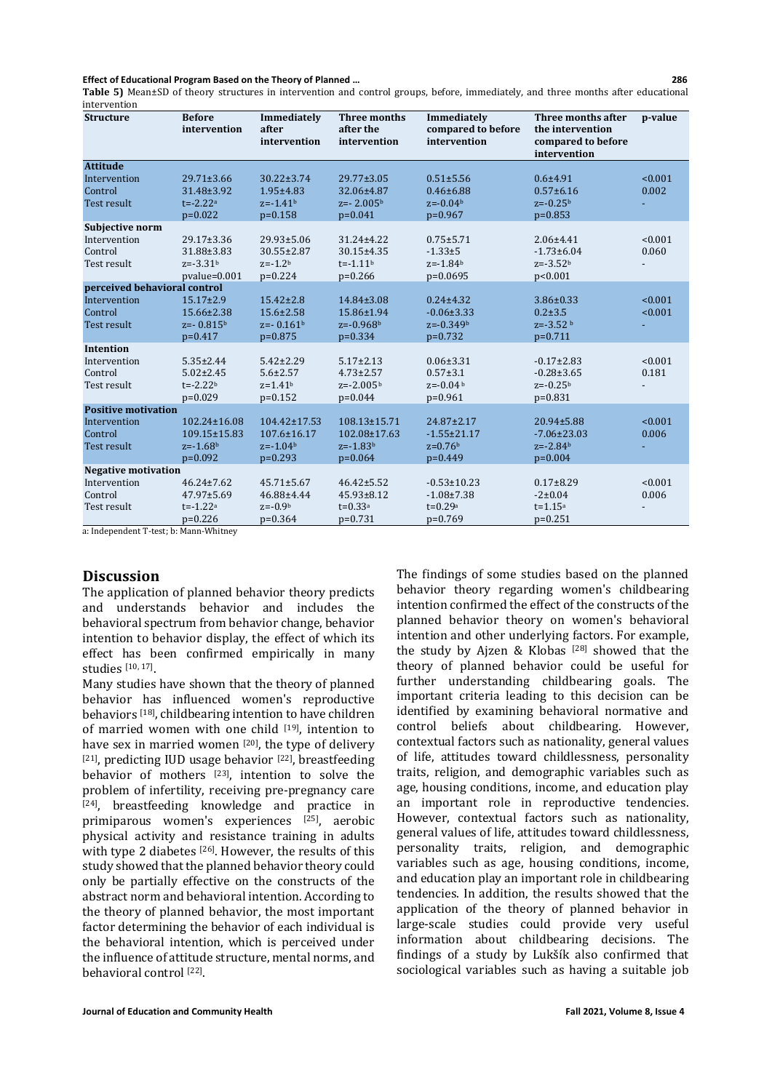**Table 5)** Mean±SD of theory structures in intervention and control groups, before, immediately, and three months after educational intervention

| <b>Structure</b>             | <b>Before</b><br>intervention | Immediately<br>after<br>intervention | Three months<br>after the<br>intervention | Immediately<br>compared to before<br>intervention | Three months after<br>the intervention<br>compared to before<br>intervention | p-value |
|------------------------------|-------------------------------|--------------------------------------|-------------------------------------------|---------------------------------------------------|------------------------------------------------------------------------------|---------|
| <b>Attitude</b>              |                               |                                      |                                           |                                                   |                                                                              |         |
| Intervention                 | 29.71±3.66                    | $30.22 \pm 3.74$                     | $29.77 \pm 3.05$                          | $0.51 \pm 5.56$                                   | $0.6 + 4.91$                                                                 | < 0.001 |
| Control                      | 31.48±3.92                    | $1.95 \pm 4.83$                      | 32.06±4.87                                | $0.46 \pm 6.88$                                   | $0.57 \pm 6.16$                                                              | 0.002   |
| Test result                  | $t = -2.22a$                  | $z = -1.41b$                         | $z=-2.005b$                               | $z=-0.04b$                                        | $z=-0.25b$                                                                   |         |
|                              | $p=0.022$                     | $p=0.158$                            | $p=0.041$                                 | $p=0.967$                                         | $p=0.853$                                                                    |         |
| Subjective norm              |                               |                                      |                                           |                                                   |                                                                              |         |
| Intervention                 | 29.17±3.36                    | $29.93 \pm 5.06$                     | $31.24 \pm 4.22$                          | $0.75 + 5.71$                                     | $2.06 \pm 4.41$                                                              | < 0.001 |
| Control                      | 31.88±3.83                    | 30.55±2.87                           | 30.15±4.35                                | $-1.33 \pm 5$                                     | $-1.73 \pm 6.04$                                                             | 0.060   |
| Test result                  | $z=-3.31b$                    | $z = -1.2b$                          | $t = -1.11b$                              | $z = -1.84b$                                      | $z=-3.52b$                                                                   |         |
|                              | $pvalue = 0.001$              | $p=0.224$                            | $p=0.266$                                 | $p=0.0695$                                        | p<0.001                                                                      |         |
| perceived behavioral control |                               |                                      |                                           |                                                   |                                                                              |         |
| Intervention                 | $15.17 \pm 2.9$               | $15.42 \pm 2.8$                      | 14.84±3.08                                | $0.24 \pm 4.32$                                   | $3.86 \pm 0.33$                                                              | < 0.001 |
| Control                      | 15.66±2.38                    | $15.6 \pm 2.58$                      | 15.86±1.94                                | $-0.06 \pm 3.33$                                  | $0.2 \pm 3.5$                                                                | < 0.001 |
| Test result                  | $z=-0.815b$                   | $z=-0.161b$                          | $z=-0.968b$                               | $z=-0.349b$                                       | $z=-3.52b$                                                                   |         |
| <b>Intention</b>             | $p=0.417$                     | $p=0.875$                            | $p=0.334$                                 | $p=0.732$                                         | $p=0.711$                                                                    |         |
| Intervention                 | $5.35 \pm 2.44$               | $5.42 \pm 2.29$                      | $5.17 \pm 2.13$                           | $0.06 \pm 3.31$                                   | $-0.17 \pm 2.83$                                                             | < 0.001 |
| Control                      | $5.02 \pm 2.45$               | $5.6 \pm 2.57$                       | $4.73 \pm 2.57$                           | $0.57 + 3.1$                                      | $-0.28 \pm 3.65$                                                             | 0.181   |
| Test result                  | $t = -2.22b$                  | $z = 1.41b$                          | $z=-2.005b$                               | $z=-0.04b$                                        | $z=-0.25b$                                                                   |         |
|                              | $p=0.029$                     | $p=0.152$                            | $p=0.044$                                 | $p=0.961$                                         | $p=0.831$                                                                    |         |
| <b>Positive motivation</b>   |                               |                                      |                                           |                                                   |                                                                              |         |
| Intervention                 | 102.24±16.08                  | $104.42 \pm 17.53$                   | 108.13±15.71                              | 24.87±2.17                                        | $20.94 \pm 5.88$                                                             | < 0.001 |
| Control                      | 109.15±15.83                  | $107.6 \pm 16.17$                    | 102.08±17.63                              | $-1.55 \pm 21.17$                                 | $-7.06 \pm 23.03$                                                            | 0.006   |
| Test result                  | $z = -1.68b$                  | $z = -1.04b$                         | $z = -1.83b$                              | $z=0.76b$                                         | $z=-2.84b$                                                                   |         |
|                              | $p=0.092$                     | $p=0.293$                            | $p=0.064$                                 | $p=0.449$                                         | $p=0.004$                                                                    |         |
| <b>Negative motivation</b>   |                               |                                      |                                           |                                                   |                                                                              |         |
| Intervention                 | $46.24 \pm 7.62$              | $45.71 \pm 5.67$                     | $46.42 \pm 5.52$                          | $-0.53 \pm 10.23$                                 | $0.17 \pm 8.29$                                                              | < 0.001 |
| Control                      | $47.97 \pm 5.69$              | 46.88±4.44                           | $45.93 \pm 8.12$                          | $-1.08 \pm 7.38$                                  | $-2 \pm 0.04$                                                                | 0.006   |
| Test result                  | $t = -1.22a$                  | $z = -0.9b$                          | $t = 0.33a$                               | $t = 0.29a$                                       | $t = 1.15^a$                                                                 |         |
|                              | $p=0.226$                     | $p=0.364$                            | $p=0.731$                                 | $p=0.769$                                         | $p=0.251$                                                                    |         |

a: Independent T-test; b: Mann-Whitney

# **Discussion**

The application of planned behavior theory predicts and understands behavior and includes the behavioral spectrum from behavior change, behavior intention to behavior display, the effect of which its effect has been confirmed empirically in many studies [10, 17].

Many studies have shown that the theory of planned behavior has influenced women's reproductive behaviors [18], childbearing intention to have children of married women with one child [19], intention to have sex in married women [20], the type of delivery [21], predicting IUD usage behavior [22], breastfeeding behavior of mothers [23], intention to solve the problem of infertility, receiving pre-pregnancy care [24], breastfeeding knowledge and practice in primiparous women's experiences <sup>[25]</sup>, aerobic physical activity and resistance training in adults with type 2 diabetes <sup>[26]</sup>. However, the results of this study showed that the planned behavior theory could only be partially effective on the constructs of the abstract norm and behavioral intention. According to the theory of planned behavior, the most important factor determining the behavior of each individual is the behavioral intention, which is perceived under the influence of attitude structure, mental norms, and behavioral control [22].

The findings of some studies based on the planned behavior theory regarding women's childbearing intention confirmed the effect of the constructs of the planned behavior theory on women's behavioral intention and other underlying factors. For example, the study by Ajzen & Klobas [28] showed that the theory of planned behavior could be useful for further understanding childbearing goals. The important criteria leading to this decision can be identified by examining behavioral normative and control beliefs about childbearing. However, contextual factors such as nationality, general values of life, attitudes toward childlessness, personality traits, religion, and demographic variables such as age, housing conditions, income, and education play an important role in reproductive tendencies. However, contextual factors such as nationality, general values of life, attitudes toward childlessness, personality traits, religion, and demographic variables such as age, housing conditions, income, and education play an important role in childbearing tendencies. In addition, the results showed that the application of the theory of planned behavior in large-scale studies could provide very useful information about childbearing decisions. The findings of a study by Lukšík also confirmed that sociological variables such as having a suitable job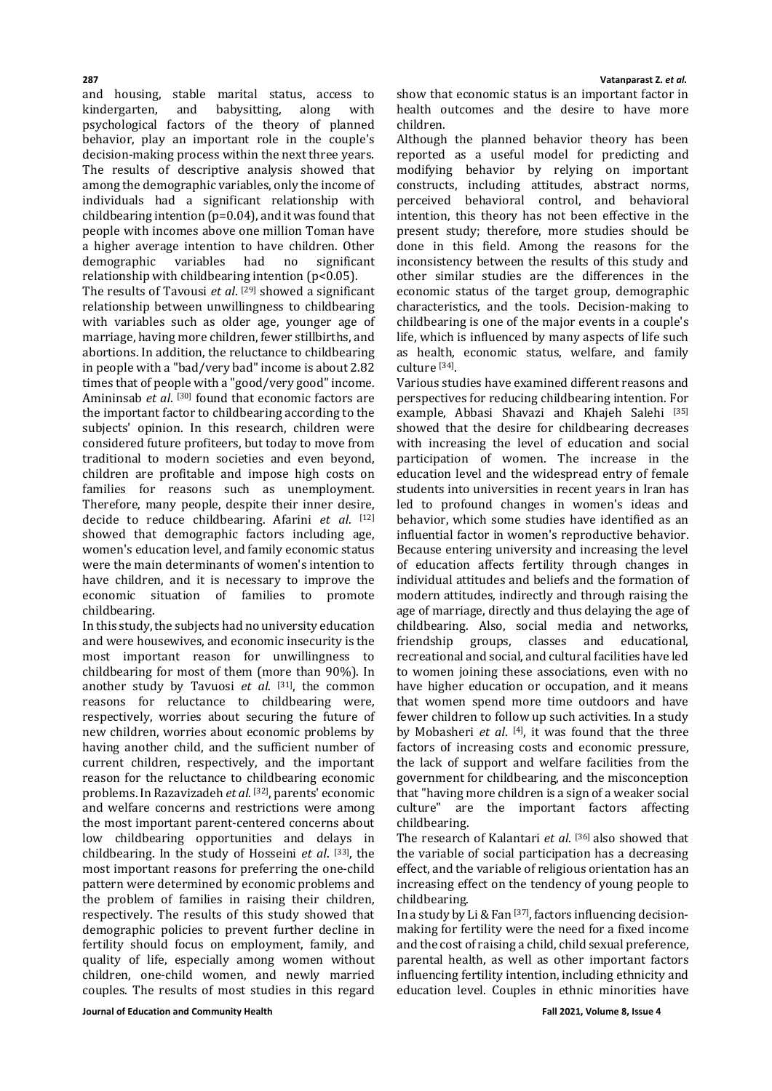and housing, stable marital status, access to kindergarten. psychological factors of the theory of planned behavior, play an important role in the couple's decision-making process within the next three years. The results of descriptive analysis showed that among the demographic variables, only the income of individuals had a significant relationship with childbearing intention (p=0.04), and it was found that people with incomes above one million Toman have a higher average intention to have children. Other<br>demographic variables had no significant variables had relationship with childbearing intention (p<0.05).

The results of Tavousi *et al*. [29] showed a significant relationship between unwillingness to childbearing with variables such as older age, younger age of marriage, having more children, fewer stillbirths, and abortions. In addition, the reluctance to childbearing in people with a "bad/very bad" income is about 2.82 times that of people with a "good/very good" income. Amininsab *et al*. [30] found that economic factors are the important factor to childbearing according to the subjects' opinion. In this research, children were considered future profiteers, but today to move from traditional to modern societies and even beyond, children are profitable and impose high costs on families for reasons such as unemployment. Therefore, many people, despite their inner desire, decide to reduce childbearing. Afarini *et al*. [12] showed that demographic factors including age, women's education level, and family economic status were the main determinants of women's intention to have children, and it is necessary to improve the economic situation of families to promote childbearing.

In this study, the subjects had no university education and were housewives, and economic insecurity is the most important reason for unwillingness to childbearing for most of them (more than 90%). In another study by Tavuosi *et al*. [31], the common reasons for reluctance to childbearing were, respectively, worries about securing the future of new children, worries about economic problems by having another child, and the sufficient number of current children, respectively, and the important reason for the reluctance to childbearing economic problems. In Razavizadeh *et al*. [32], parents' economic and welfare concerns and restrictions were among the most important parent-centered concerns about low childbearing opportunities and delays in childbearing. In the study of Hosseini *et al*. [33], the most important reasons for preferring the one-child pattern were determined by economic problems and the problem of families in raising their children, respectively. The results of this study showed that demographic policies to prevent further decline in fertility should focus on employment, family, and quality of life, especially among women without children, one-child women, and newly married couples. The results of most studies in this regard

**287 Vatanparast Z.** *et al.*

show that economic status is an important factor in health outcomes and the desire to have more children.

Although the planned behavior theory has been reported as a useful model for predicting and modifying behavior by relying on important constructs, including attitudes, abstract norms, perceived behavioral control, and behavioral intention, this theory has not been effective in the present study; therefore, more studies should be done in this field. Among the reasons for the inconsistency between the results of this study and other similar studies are the differences in the economic status of the target group, demographic characteristics, and the tools. Decision-making to childbearing is one of the major events in a couple's life, which is influenced by many aspects of life such as health, economic status, welfare, and family culture [34].

Various studies have examined different reasons and perspectives for reducing childbearing intention. For example, Abbasi Shavazi and Khajeh Salehi [35] showed that the desire for childbearing decreases with increasing the level of education and social participation of women. The increase in the education level and the widespread entry of female students into universities in recent years in Iran has led to profound changes in women's ideas and behavior, which some studies have identified as an influential factor in women's reproductive behavior. Because entering university and increasing the level of education affects fertility through changes in individual attitudes and beliefs and the formation of modern attitudes, indirectly and through raising the age of marriage, directly and thus delaying the age of childbearing. Also, social media and networks, educational. recreational and social, and cultural facilities have led to women joining these associations, even with no have higher education or occupation, and it means that women spend more time outdoors and have fewer children to follow up such activities. In a study by Mobasheri *et al*. [4] , it was found that the three factors of increasing costs and economic pressure, the lack of support and welfare facilities from the government for childbearing, and the misconception that"having more children is a sign of a weaker social culture" are the important factors affecting childbearing.

The research of Kalantari *et al*. [36] also showed that the variable of social participation has a decreasing effect, and the variable of religious orientation has an increasing effect on the tendency of young people to childbearing.

In a study by Li&Fan [37] , factors influencing decisionmaking for fertility were the need for a fixed income and the cost of raising a child, child sexual preference, parental health, as well as other important factors influencing fertility intention, including ethnicity and education level. Couples in ethnic minorities have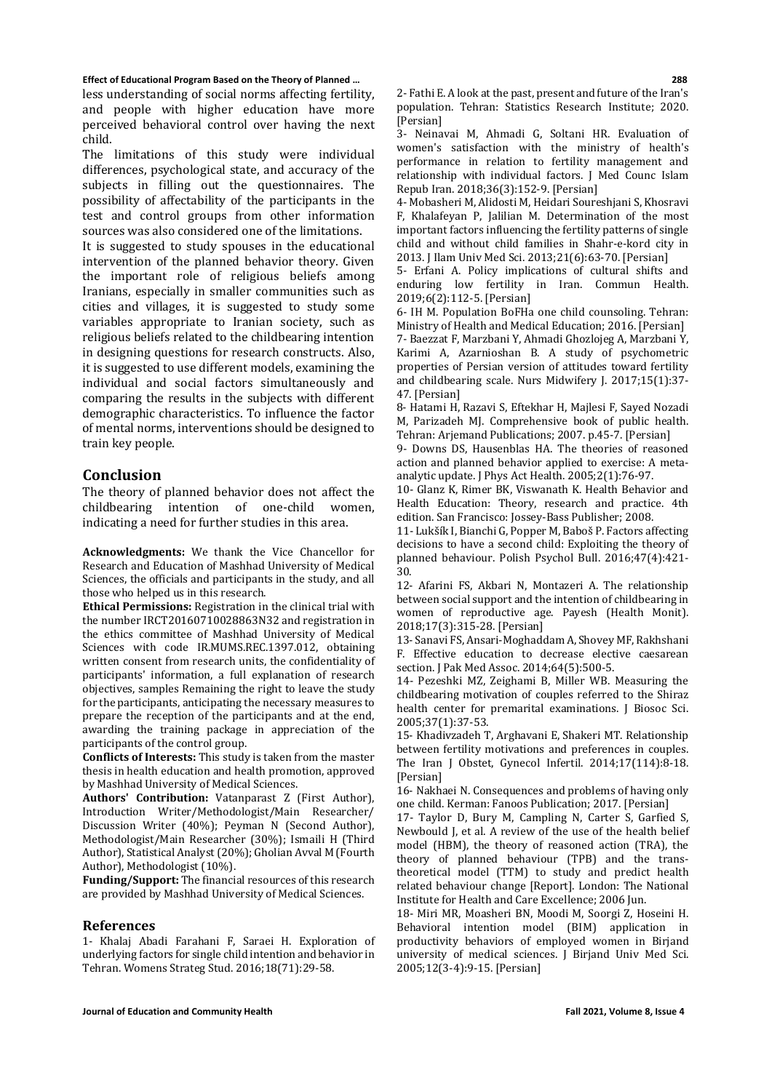less understanding of social norms affecting fertility, and people with higher education have more perceived behavioral control over having the next child.

The limitations of this study were individual differences, psychological state, and accuracy of the subjects in filling out the questionnaires. The possibility of affectability of the participants in the test and control groups from other information sources was also considered one of the limitations.

It is suggested to study spouses in the educational intervention of the planned behavior theory. Given the important role of religious beliefs among Iranians, especially in smaller communities such as cities and villages, it is suggested to study some variables appropriate to Iranian society, such as religious beliefs related to the childbearing intention in designing questions for research constructs. Also, it is suggested to use different models, examining the individual and social factors simultaneously and comparing the results in the subjects with different demographic characteristics. To influence the factor of mental norms, interventions should be designed to train key people.

# **Conclusion**

The theory of planned behavior does not affect the childbearing intention of one-child women, indicating a need for further studies in this area.

**Acknowledgments:** We thank the Vice Chancellor for Research and Education of Mashhad University of Medical Sciences, the officials and participants in the study, and all those who helped us in this research.

**Ethical Permissions:** Registration in the clinical trial with the number IRCT20160710028863N32 and registration in the ethics committee of Mashhad University of Medical Sciences with code IR.MUMS.REC.1397.012, obtaining written consent from research units, the confidentiality of participants' information, a full explanation of research objectives, samples Remaining the right to leave the study for the participants, anticipating the necessary measures to prepare the reception of the participants and at the end, awarding the training package in appreciation of the participants of the control group.

**Conflicts of Interests:** This study is taken from the master thesis in health education and health promotion, approved by Mashhad University of Medical Sciences.

**Authors' Contribution:** Vatanparast Z (First Author), Introduction Writer/Methodologist/Main Researcher/ Discussion Writer (40%); Peyman N (Second Author), Methodologist/Main Researcher (30%); Ismaili H (Third Author), Statistical Analyst(20%); Gholian Avval M (Fourth Author), Methodologist (10%).

**Funding/Support:** The financial resources of this research are provided by Mashhad University of Medical Sciences.

### **References**

1- Khalaj Abadi Farahani F, Saraei H. Exploration of underlying factors for single child intention and behavior in Tehran. Womens Strateg Stud. 2016;18(71):29-58.

2- Fathi E. A look at the past, present and future of the Iran's population. Tehran: Statistics Research Institute; 2020. [Persian]

3- Neinavai M, Ahmadi G, Soltani HR. Evaluation of women's satisfaction with the ministry of health's performance in relation to fertility management and relationship with individual factors. J Med Counc Islam Repub Iran. 2018;36(3):152-9. [Persian]

4- Mobasheri M, Alidosti M, Heidari Soureshjani S, Khosravi F, Khalafeyan P, Jalilian M. Determination of the most important factors influencing the fertility patterns of single child and without child families in Shahr-e-kord city in 2013. J Ilam Univ Med Sci. 2013;21(6):63-70. [Persian]

5- Erfani A. Policy implications of cultural shifts and enduring low fertility in Iran. Commun Health. 2019;6(2):112-5. [Persian]

6- IH M. Population BoFHa one child counsoling. Tehran: Ministry of Health and Medical Education; 2016. [Persian]

7- Baezzat F, Marzbani Y, Ahmadi Ghozlojeg A, Marzbani Y, Karimi A, Azarnioshan B. A study of psychometric properties of Persian version of attitudes toward fertility and childbearing scale. Nurs Midwifery J. 2017;15(1):37- 47. [Persian]

8- Hatami H, Razavi S, Eftekhar H, Majlesi F, Sayed Nozadi M, Parizadeh MJ. Comprehensive book of public health. Tehran: Arjemand Publications; 2007. p.45-7. [Persian]

9- Downs DS, Hausenblas HA. The theories of reasoned action and planned behavior applied to exercise: A metaanalytic update. J Phys Act Health. 2005;2(1):76-97.

10- Glanz K, Rimer BK, Viswanath K. Health Behavior and Health Education: Theory, research and practice. 4th edition. San Francisco: Jossey-Bass Publisher; 2008.

11- Lukšík I, Bianchi G, Popper M, Baboš P. Factors affecting decisions to have a second child: Exploiting the theory of planned behaviour. Polish Psychol Bull. 2016;47(4):421- 30.

12- Afarini FS, Akbari N, Montazeri A. The relationship between social support and the intention of childbearing in women of reproductive age. Payesh (Health Monit). 2018;17(3):315-28. [Persian]

13- Sanavi FS, Ansari-Moghaddam A, Shovey MF, Rakhshani F. Effective education to decrease elective caesarean section. J Pak Med Assoc. 2014;64(5):500-5.

14- Pezeshki MZ, Zeighami B, Miller WB. Measuring the childbearing motivation of couples referred to the Shiraz health center for premarital examinations. J Biosoc Sci. 2005;37(1):37-53.

15- Khadivzadeh T, Arghavani E, Shakeri MT. Relationship between fertility motivations and preferences in couples. The Iran J Obstet, Gynecol Infertil. 2014;17(114):8-18. [Persian]

16- Nakhaei N. Consequences and problems of having only one child. Kerman: Fanoos Publication; 2017. [Persian]

17- Taylor D, Bury M, Campling N, Carter S, Garfied S, Newbould J, et al. A review of the use of the health belief model (HBM), the theory of reasoned action (TRA), the theory of planned behaviour (TPB) and the transtheoretical model (TTM) to study and predict health related behaviour change [Report]. London: The National Institute for Health and Care Excellence; 2006 Jun.

18- Miri MR, Moasheri BN, Moodi M, Soorgi Z, Hoseini H. Behavioral intention model (BIM) application in productivity behaviors of employed women in Birjand university of medical sciences. J Birjand Univ Med Sci. 2005;12(3-4):9-15. [Persian]